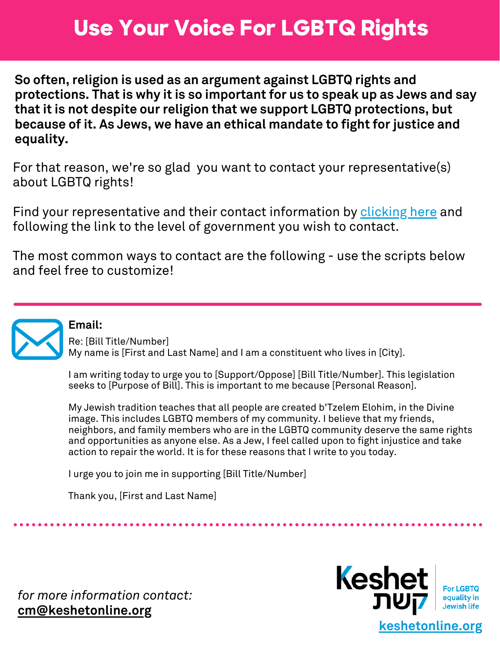# **Use Your Voice For LGBTQ Rights**

**So often, religion is used as an argument against LGBTQ rights and protections. That is why it is so important for us to speak up as Jews and say that it is not despite our religion that we support LGBTQ protections, but because of it. As Jews, we have an ethical mandate to fight for justice and equality.**

For that reason, we're so glad you want to contact your representative(s) about LGBTQ rights!

Find your representative and their contact information by [clicking](https://www.usa.gov/elected-officials) her[e](#page-1-0) and following the link to the level of government you wish to contact.

The most common ways to contact are the following - use the scripts below and feel free to customize!



# **Email:**

Re: [Bill Title/Number] My name is [First and Last Name] and I am a constituent who lives in [City].

I am writing today to urge you to [Support/Oppose] [Bill Title/Number]. This legislation seeks to [Purpose of Bill]. This is important to me because [Personal Reason].

My Jewish tradition teaches that all people are created b'Tzelem Elohim, in the Divine image. This includes LGBTQ members of my community. I believe that my friends, neighbors, and family members who are in the LGBTQ community deserve the same rights and opportunities as anyone else. As a Jew, I feel called upon to fight injustice and take action to repair the world. It is for these reasons that I write to you today.

I urge you to join me in supporting [Bill Title/Number]

Thank you, [First and Last Name]

*for more information contact:* **[cm@keshetonline.org](mailto:cm@keshetonline.org)**